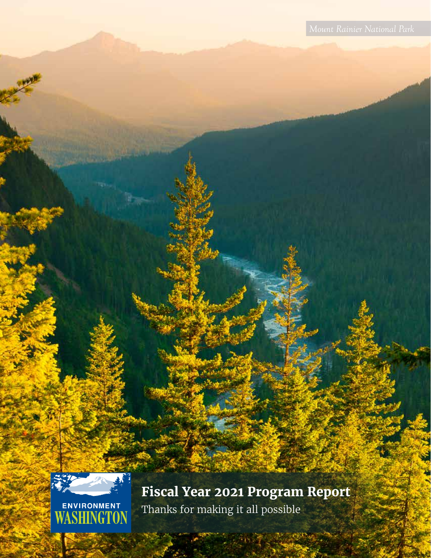

**Fiscal Year 2021 Program Report** Thanks for making it all possible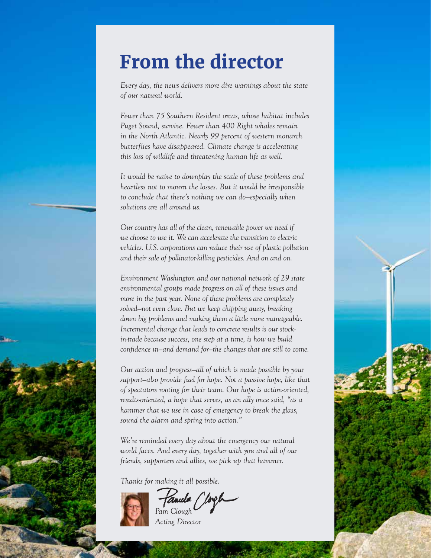### **From the director**

*Every day, the news delivers more dire warnings about the state of our natural world.* 

*Fewer than 75 Southern Resident orcas, whose habitat includes Puget Sound, survive. Fewer than 400 Right whales remain in the North Atlantic. Nearly 99 percent of western monarch butterflies have disappeared. Climate change is accelerating this loss of wildlife and threatening human life as well.*

*It would be naive to downplay the scale of these problems and heartless not to mourn the losses. But it would be irresponsible to conclude that there's nothing we can do—especially when solutions are all around us.*

*Our country has all of the clean, renewable power we need if we choose to use it. We can accelerate the transition to electric vehicles. U.S. corporations can reduce their use of plastic pollution and their sale of pollinator-killing pesticides. And on and on.*

*Environment Washington and our national network of 29 state environmental groups made progress on all of these issues and more in the past year. None of these problems are completely solved—not even close. But we keep chipping away, breaking down big problems and making them a little more manageable. Incremental change that leads to concrete results is our stockin-trade because success, one step at a time, is how we build confidence in—and demand for—the changes that are still to come.* 

*Our action and progress—all of which is made possible by your*  support–also provide fuel for hope. Not a passive hope, like that *of spectators rooting for their team. Our hope is action-oriented, results-oriented, a hope that serves, as an ally once said, "as a hammer that we use in case of emergency to break the glass, sound the alarm and spring into action."*

*We're reminded every day about the emergency our natural world faces. And every day, together with you and all of our friends, supporters and allies, we pick up that hammer.*

*Thanks for making it all possible.*



tanula *Pam Clough*

*Acting Director*

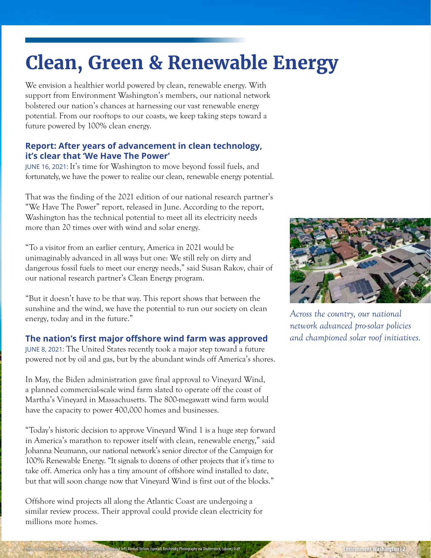### **Clean, Green & Renewable Energy**

We envision a healthier world powered by clean, renewable energy. With support from Environment Washington's members, our national network bolstered our nation's chances at harnessing our vast renewable energy potential. From our rooftops to our coasts, we keep taking steps toward a future powered by 100% clean energy.

#### **Report: After years of advancement in clean technology, it's clear that 'We Have The Power'**

JUNE 16, 2021: It's time for Washington to move beyond fossil fuels, and fortunately, we have the power to realize our clean, renewable energy potential.

That was the finding of the 2021 edition of our national research partner's "We Have The Power" report, released in June. According to the report, Washington has the technical potential to meet all its electricity needs more than 20 times over with wind and solar energy.

"To a visitor from an earlier century, America in 2021 would be unimaginably advanced in all ways but one: We still rely on dirty and dangerous fossil fuels to meet our energy needs," said Susan Rakov, chair of our national research partner's Clean Energy program.

"But it doesn't have to be that way. This report shows that between the sunshine and the wind, we have the potential to run our society on clean energy, today and in the future."

#### **The nation's first major offshore wind farm was approved**

JUNE 8, 2021: The United States recently took a major step toward a future powered not by oil and gas, but by the abundant winds off America's shores.

In May, the Biden administration gave final approval to Vineyard Wind, a planned commercial-scale wind farm slated to operate off the coast of Martha's Vineyard in Massachusetts. The 800-megawatt wind farm would have the capacity to power 400,000 homes and businesses.

"Today's historic decision to approve Vineyard Wind 1 is a huge step forward in America's marathon to repower itself with clean, renewable energy," said Johanna Neumann, our national network's senior director of the Campaign for 100% Renewable Energy. "It signals to dozens of other projects that it's time to take off. America only has a tiny amount of offshore wind installed to date, but that will soon change now that Vineyard Wind is first out of the blocks."

Offshore wind projects all along the Atlantic Coast are undergoing a similar review process. Their approval could provide clean electricity for millions more homes.



*Across the country, our national network advanced pro-solar policies and championed solar roof initiatives.*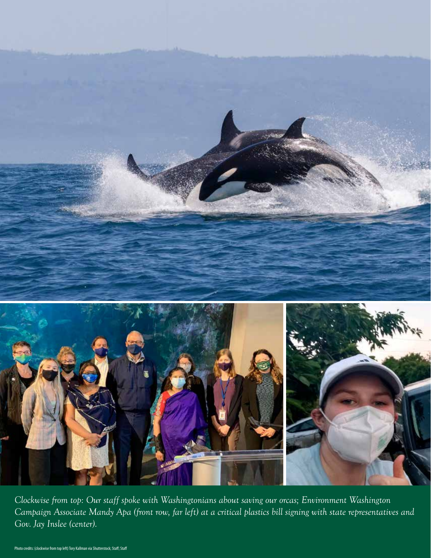

*Clockwise from top: Our staff spoke with Washingtonians about saving our orcas; Environment Washington Campaign Associate Mandy Apa (front row, far left) at a critical plastics bill signing with state representatives and Gov. Jay Inslee (center).*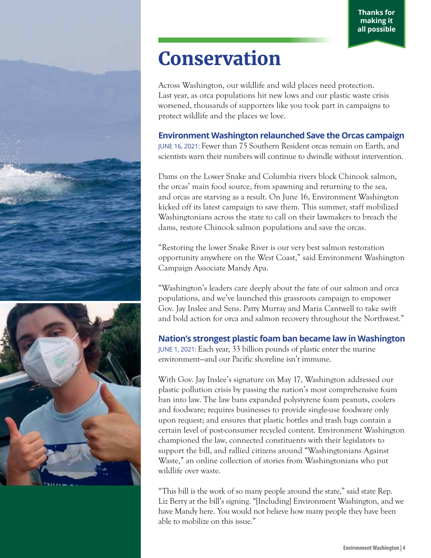## **Conservation**

Across Washington, our wildlife and wild places need protection. Last year, as orca populations hit new lows and our plastic waste crisis worsened, thousands of supporters like you took part in campaigns to protect wildlife and the places we love.

### **Environment Washington relaunched Save the Orcas campaign**

JUNE 16, 2021: Fewer than 75 Southern Resident orcas remain on Earth, and scientists warn their numbers will continue to dwindle without intervention.

Dams on the Lower Snake and Columbia rivers block Chinook salmon, the orcas' main food source, from spawning and returning to the sea, and orcas are starving as a result. On June 16, Environment Washington kicked off its latest campaign to save them. This summer, staff mobilized Washingtonians across the state to call on their lawmakers to breach the dams, restore Chinook salmon populations and save the orcas.

"Restoring the lower Snake River is our very best salmon restoration opportunity anywhere on the West Coast," said Environment Washington Campaign Associate Mandy Apa.

"Washington's leaders care deeply about the fate of our salmon and orca populations, and we've launched this grassroots campaign to empower Gov. Jay Inslee and Sens. Patty Murray and Maria Cantwell to take swift and bold action for orca and salmon recovery throughout the Northwest."

#### **Nation's strongest plastic foam ban became law in Washington**  JUNE 1, 2021: Each year, 33 billion pounds of plastic enter the marine environment—and our Pacific shoreline isn't immune.

With Gov. Jay Inslee's signature on May 17, Washington addressed our plastic pollution crisis by passing the nation's most comprehensive foam ban into law. The law bans expanded polystyrene foam peanuts, coolers and foodware; requires businesses to provide single-use foodware only upon request; and ensures that plastic bottles and trash bags contain a certain level of post-consumer recycled content. Environment Washington championed the law, connected constituents with their legislators to support the bill, and rallied citizens around "Washingtonians Against Waste," an online collection of stories from Washingtonians who put wildlife over waste.

"This bill is the work of so many people around the state," said state Rep. Liz Berry at the bill's signing. "[Including] Environment Washington, and we have Mandy here. You would not believe how many people they have been able to mobilize on this issue."

![](_page_4_Picture_11.jpeg)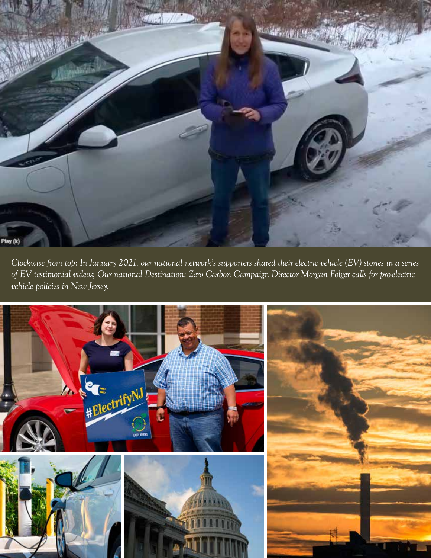![](_page_5_Picture_0.jpeg)

*Duis aute irure dolor in reprehenderit in vehicle policies in New Jersey.Clockwise from top: In January 2021, our national network's supporters shared their electric vehicle (EV) stories in a series of EV testimonial videos; Our national Destination: Zero Carbon Campaign Director Morgan Folger calls for pro-electric* 

![](_page_5_Picture_2.jpeg)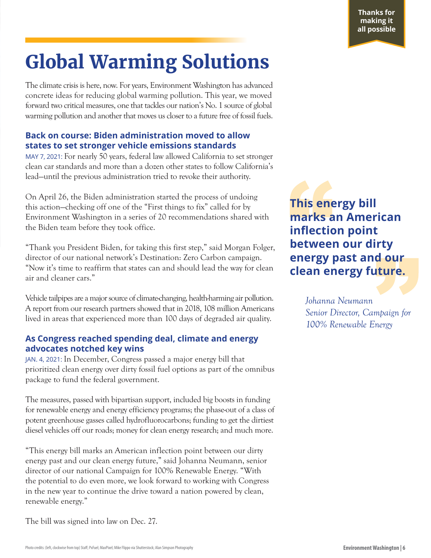## **Global Warming Solutions**

The climate crisis is here, now. For years, Environment Washington has advanced concrete ideas for reducing global warming pollution. This year, we moved forward two critical measures, one that tackles our nation's No. 1 source of global warming pollution and another that moves us closer to a future free of fossil fuels.

#### **Back on course: Biden administration moved to allow states to set stronger vehicle emissions standards**

MAY 7, 2021: For nearly 50 years, federal law allowed California to set stronger clean car standards and more than a dozen other states to follow California's lead—until the previous administration tried to revoke their authority.

On April 26, the Biden administration started the process of undoing this action—checking off one of the "First things to fix" called for by Environment Washington in a series of 20 recommendations shared with the Biden team before they took office.

"Thank you President Biden, for taking this first step," said Morgan Folger, director of our national network's Destination: Zero Carbon campaign. "Now it's time to reaffirm that states can and should lead the way for clean air and cleaner cars."

Vehicle tailpipes are a major source of climate-changing, health-harming air pollution. A report from our research partners showed that in 2018, 108 million Americans lived in areas that experienced more than 100 days of degraded air quality.

#### **As Congress reached spending deal, climate and energy advocates notched key wins**

JAN. 4, 2021: In December, Congress passed a major energy bill that prioritized clean energy over dirty fossil fuel options as part of the omnibus package to fund the federal government.

The measures, passed with bipartisan support, included big boosts in funding for renewable energy and energy efficiency programs; the phase-out of a class of potent greenhouse gasses called hydrofluorocarbons; funding to get the dirtiest diesel vehicles off our roads; money for clean energy research; and much more.

"This energy bill marks an American inflection point between our dirty energy past and our clean energy future," said Johanna Neumann, senior director of our national Campaign for 100% Renewable Energy. "With the potential to do even more, we look forward to working with Congress in the new year to continue the drive toward a nation powered by clean, renewable energy."

The bill was signed into law on Dec. 27.

**This energy bill marks an American inflection point between our dirty energy past and our clean energy future.**

> *Johanna Neumann Senior Director, Campaign for 100% Renewable Energy*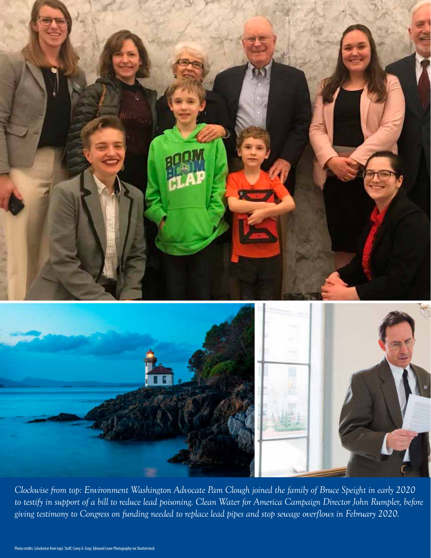![](_page_7_Picture_0.jpeg)

*Clockwise from top: Environment Washington Advocate Pam Clough joined the family of Bruce Speight in early 2020 to testify in support of a bill to reduce lead poisoning. Clean Water for America Campaign Director John Rumpler, before giving testimony to Congress on funding needed to replace lead pipes and stop sewage overflows in February 2020.*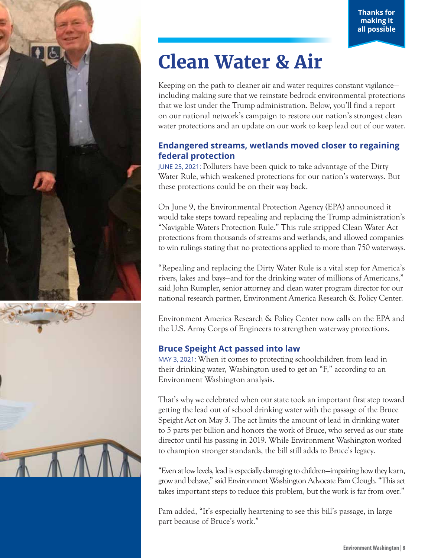![](_page_8_Picture_1.jpeg)

![](_page_8_Picture_2.jpeg)

# **Clean Water & Air**

Keeping on the path to cleaner air and water requires constant vigilance including making sure that we reinstate bedrock environmental protections that we lost under the Trump administration. Below, you'll find a report on our national network's campaign to restore our nation's strongest clean water protections and an update on our work to keep lead out of our water.

#### **Endangered streams, wetlands moved closer to regaining federal protection**

JUNE 25, 2021: Polluters have been quick to take advantage of the Dirty Water Rule, which weakened protections for our nation's waterways. But these protections could be on their way back.

On June 9, the Environmental Protection Agency (EPA) announced it would take steps toward repealing and replacing the Trump administration's "Navigable Waters Protection Rule." This rule stripped Clean Water Act protections from thousands of streams and wetlands, and allowed companies to win rulings stating that no protections applied to more than 750 waterways.

"Repealing and replacing the Dirty Water Rule is a vital step for America's rivers, lakes and bays—and for the drinking water of millions of Americans," said John Rumpler, senior attorney and clean water program director for our national research partner, Environment America Research & Policy Center.

Environment America Research & Policy Center now calls on the EPA and the U.S. Army Corps of Engineers to strengthen waterway protections.

#### **Bruce Speight Act passed into law**

MAY 3, 2021: When it comes to protecting schoolchildren from lead in their drinking water, Washington used to get an "F," according to an Environment Washington analysis.

That's why we celebrated when our state took an important first step toward getting the lead out of school drinking water with the passage of the Bruce Speight Act on May 3. The act limits the amount of lead in drinking water to 5 parts per billion and honors the work of Bruce, who served as our state director until his passing in 2019. While Environment Washington worked to champion stronger standards, the bill still adds to Bruce's legacy.

"Even at low levels, lead is especially damaging to children—impairing how they learn, grow and behave," said Environment Washington Advocate Pam Clough. "This act takes important steps to reduce this problem, but the work is far from over."

Pam added, "It's especially heartening to see this bill's passage, in large part because of Bruce's work."